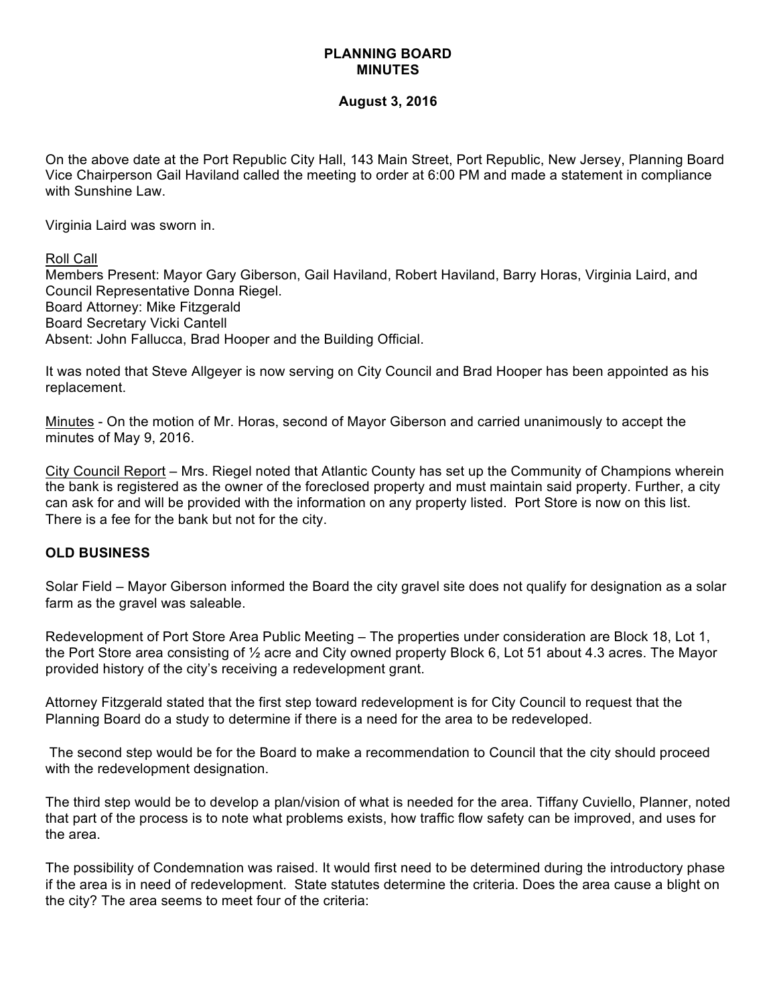# **PLANNING BOARD MINUTES**

#### **August 3, 2016**

On the above date at the Port Republic City Hall, 143 Main Street, Port Republic, New Jersey, Planning Board Vice Chairperson Gail Haviland called the meeting to order at 6:00 PM and made a statement in compliance with Sunshine Law.

Virginia Laird was sworn in.

Roll Call

Members Present: Mayor Gary Giberson, Gail Haviland, Robert Haviland, Barry Horas, Virginia Laird, and Council Representative Donna Riegel. Board Attorney: Mike Fitzgerald Board Secretary Vicki Cantell Absent: John Fallucca, Brad Hooper and the Building Official.

It was noted that Steve Allgeyer is now serving on City Council and Brad Hooper has been appointed as his replacement.

Minutes - On the motion of Mr. Horas, second of Mayor Giberson and carried unanimously to accept the minutes of May 9, 2016.

City Council Report – Mrs. Riegel noted that Atlantic County has set up the Community of Champions wherein the bank is registered as the owner of the foreclosed property and must maintain said property. Further, a city can ask for and will be provided with the information on any property listed. Port Store is now on this list. There is a fee for the bank but not for the city.

# **OLD BUSINESS**

Solar Field – Mayor Giberson informed the Board the city gravel site does not qualify for designation as a solar farm as the gravel was saleable.

Redevelopment of Port Store Area Public Meeting – The properties under consideration are Block 18, Lot 1, the Port Store area consisting of ½ acre and City owned property Block 6, Lot 51 about 4.3 acres. The Mayor provided history of the city's receiving a redevelopment grant.

Attorney Fitzgerald stated that the first step toward redevelopment is for City Council to request that the Planning Board do a study to determine if there is a need for the area to be redeveloped.

The second step would be for the Board to make a recommendation to Council that the city should proceed with the redevelopment designation.

The third step would be to develop a plan/vision of what is needed for the area. Tiffany Cuviello, Planner, noted that part of the process is to note what problems exists, how traffic flow safety can be improved, and uses for the area.

The possibility of Condemnation was raised. It would first need to be determined during the introductory phase if the area is in need of redevelopment. State statutes determine the criteria. Does the area cause a blight on the city? The area seems to meet four of the criteria: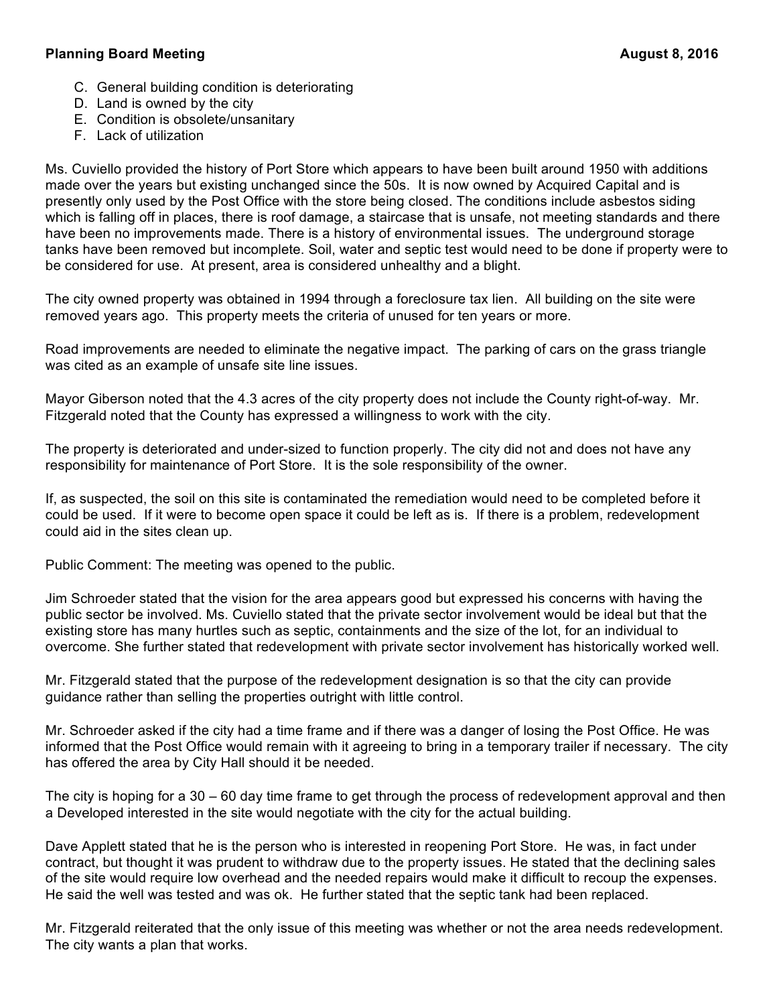# **Planning Board Meeting August 8, 2016**

- C. General building condition is deteriorating
- D. Land is owned by the city
- E. Condition is obsolete/unsanitary
- F. Lack of utilization

Ms. Cuviello provided the history of Port Store which appears to have been built around 1950 with additions made over the years but existing unchanged since the 50s. It is now owned by Acquired Capital and is presently only used by the Post Office with the store being closed. The conditions include asbestos siding which is falling off in places, there is roof damage, a staircase that is unsafe, not meeting standards and there have been no improvements made. There is a history of environmental issues. The underground storage tanks have been removed but incomplete. Soil, water and septic test would need to be done if property were to be considered for use. At present, area is considered unhealthy and a blight.

The city owned property was obtained in 1994 through a foreclosure tax lien. All building on the site were removed years ago. This property meets the criteria of unused for ten years or more.

Road improvements are needed to eliminate the negative impact. The parking of cars on the grass triangle was cited as an example of unsafe site line issues.

Mayor Giberson noted that the 4.3 acres of the city property does not include the County right-of-way. Mr. Fitzgerald noted that the County has expressed a willingness to work with the city.

The property is deteriorated and under-sized to function properly. The city did not and does not have any responsibility for maintenance of Port Store. It is the sole responsibility of the owner.

If, as suspected, the soil on this site is contaminated the remediation would need to be completed before it could be used. If it were to become open space it could be left as is. If there is a problem, redevelopment could aid in the sites clean up.

Public Comment: The meeting was opened to the public.

Jim Schroeder stated that the vision for the area appears good but expressed his concerns with having the public sector be involved. Ms. Cuviello stated that the private sector involvement would be ideal but that the existing store has many hurtles such as septic, containments and the size of the lot, for an individual to overcome. She further stated that redevelopment with private sector involvement has historically worked well.

Mr. Fitzgerald stated that the purpose of the redevelopment designation is so that the city can provide guidance rather than selling the properties outright with little control.

Mr. Schroeder asked if the city had a time frame and if there was a danger of losing the Post Office. He was informed that the Post Office would remain with it agreeing to bring in a temporary trailer if necessary. The city has offered the area by City Hall should it be needed.

The city is hoping for a 30 – 60 day time frame to get through the process of redevelopment approval and then a Developed interested in the site would negotiate with the city for the actual building.

Dave Applett stated that he is the person who is interested in reopening Port Store. He was, in fact under contract, but thought it was prudent to withdraw due to the property issues. He stated that the declining sales of the site would require low overhead and the needed repairs would make it difficult to recoup the expenses. He said the well was tested and was ok. He further stated that the septic tank had been replaced.

Mr. Fitzgerald reiterated that the only issue of this meeting was whether or not the area needs redevelopment. The city wants a plan that works.